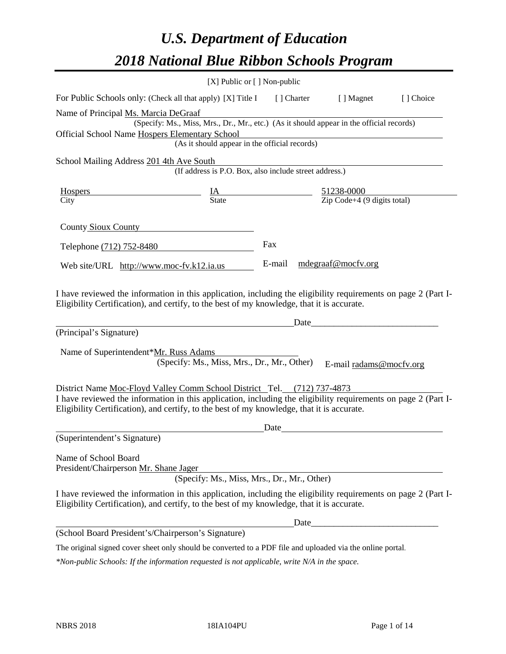# *U.S. Department of Education 2018 National Blue Ribbon Schools Program*

|                                                                                                                                                                                                              | [X] Public or [] Non-public                                                              |             |                                                                                                                      |           |
|--------------------------------------------------------------------------------------------------------------------------------------------------------------------------------------------------------------|------------------------------------------------------------------------------------------|-------------|----------------------------------------------------------------------------------------------------------------------|-----------|
| For Public Schools only: (Check all that apply) [X] Title I                                                                                                                                                  |                                                                                          | [ ] Charter | [ ] Magnet                                                                                                           | [] Choice |
| Name of Principal Ms. Marcia DeGraaf                                                                                                                                                                         |                                                                                          |             |                                                                                                                      |           |
|                                                                                                                                                                                                              | (Specify: Ms., Miss, Mrs., Dr., Mr., etc.) (As it should appear in the official records) |             |                                                                                                                      |           |
| Official School Name Hospers Elementary School                                                                                                                                                               |                                                                                          |             |                                                                                                                      |           |
|                                                                                                                                                                                                              | (As it should appear in the official records)                                            |             |                                                                                                                      |           |
| School Mailing Address 201 4th Ave South                                                                                                                                                                     |                                                                                          |             |                                                                                                                      |           |
|                                                                                                                                                                                                              | (If address is P.O. Box, also include street address.)                                   |             |                                                                                                                      |           |
| <b>Hospers</b>                                                                                                                                                                                               | $\frac{IA}{State}$ $\frac{51238-0000}{Zip Code+4 (9 digits total)}$                      |             |                                                                                                                      |           |
| City                                                                                                                                                                                                         |                                                                                          |             |                                                                                                                      |           |
| <b>County Sioux County</b>                                                                                                                                                                                   |                                                                                          |             |                                                                                                                      |           |
|                                                                                                                                                                                                              |                                                                                          |             |                                                                                                                      |           |
| Telephone (712) 752-8480                                                                                                                                                                                     |                                                                                          | Fax         |                                                                                                                      |           |
| Web site/URL $http://www.moc-fv.k12.ia.us$                                                                                                                                                                   |                                                                                          | E-mail      | mdegraaf@mocfv.org                                                                                                   |           |
| Eligibility Certification), and certify, to the best of my knowledge, that it is accurate.<br>(Principal's Signature)<br>Name of Superintendent*Mr. Russ Adams                                               | (Specify: Ms., Miss, Mrs., Dr., Mr., Other)                                              | Date_       | E-mail radams@mocfv.org                                                                                              |           |
| District Name Moc-Floyd Valley Comm School District Tel. (712) 737-4873                                                                                                                                      |                                                                                          |             |                                                                                                                      |           |
| I have reviewed the information in this application, including the eligibility requirements on page 2 (Part I-<br>Eligibility Certification), and certify, to the best of my knowledge, that it is accurate. |                                                                                          |             |                                                                                                                      |           |
|                                                                                                                                                                                                              |                                                                                          | Date        |                                                                                                                      |           |
| (Superintendent's Signature)                                                                                                                                                                                 |                                                                                          |             |                                                                                                                      |           |
| Name of School Board<br>President/Chairperson Mr. Shane Jager                                                                                                                                                | (Specify: Ms., Miss, Mrs., Dr., Mr., Other)                                              |             |                                                                                                                      |           |
| I have reviewed the information in this application, including the eligibility requirements on page 2 (Part I-<br>Eligibility Certification), and certify, to the best of my knowledge, that it is accurate. |                                                                                          |             |                                                                                                                      |           |
|                                                                                                                                                                                                              |                                                                                          | Date        | <u> 1980 - Jan James James Jan James James Jan James James Jan James James Jan Jan James Jan Jan Jan Jan Jan Jan</u> |           |
| (School Board President's/Chairperson's Signature)                                                                                                                                                           |                                                                                          |             |                                                                                                                      |           |
| The original signed cover sheet only should be converted to a PDF file and uploaded via the online portal.                                                                                                   |                                                                                          |             |                                                                                                                      |           |

*\*Non-public Schools: If the information requested is not applicable, write N/A in the space.*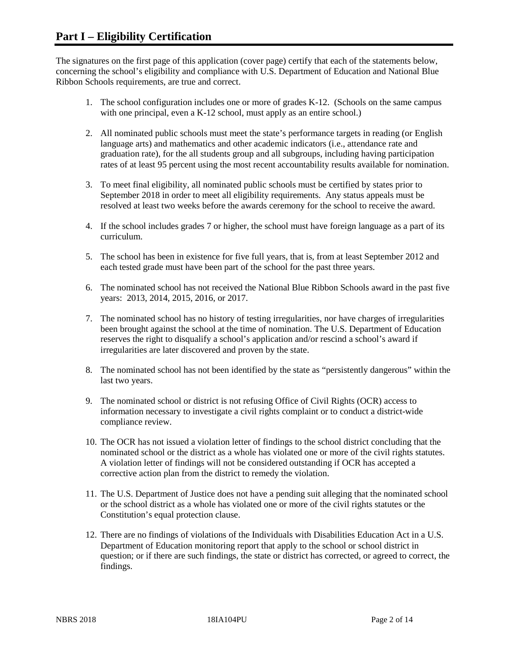The signatures on the first page of this application (cover page) certify that each of the statements below, concerning the school's eligibility and compliance with U.S. Department of Education and National Blue Ribbon Schools requirements, are true and correct.

- 1. The school configuration includes one or more of grades K-12. (Schools on the same campus with one principal, even a K-12 school, must apply as an entire school.)
- 2. All nominated public schools must meet the state's performance targets in reading (or English language arts) and mathematics and other academic indicators (i.e., attendance rate and graduation rate), for the all students group and all subgroups, including having participation rates of at least 95 percent using the most recent accountability results available for nomination.
- 3. To meet final eligibility, all nominated public schools must be certified by states prior to September 2018 in order to meet all eligibility requirements. Any status appeals must be resolved at least two weeks before the awards ceremony for the school to receive the award.
- 4. If the school includes grades 7 or higher, the school must have foreign language as a part of its curriculum.
- 5. The school has been in existence for five full years, that is, from at least September 2012 and each tested grade must have been part of the school for the past three years.
- 6. The nominated school has not received the National Blue Ribbon Schools award in the past five years: 2013, 2014, 2015, 2016, or 2017.
- 7. The nominated school has no history of testing irregularities, nor have charges of irregularities been brought against the school at the time of nomination. The U.S. Department of Education reserves the right to disqualify a school's application and/or rescind a school's award if irregularities are later discovered and proven by the state.
- 8. The nominated school has not been identified by the state as "persistently dangerous" within the last two years.
- 9. The nominated school or district is not refusing Office of Civil Rights (OCR) access to information necessary to investigate a civil rights complaint or to conduct a district-wide compliance review.
- 10. The OCR has not issued a violation letter of findings to the school district concluding that the nominated school or the district as a whole has violated one or more of the civil rights statutes. A violation letter of findings will not be considered outstanding if OCR has accepted a corrective action plan from the district to remedy the violation.
- 11. The U.S. Department of Justice does not have a pending suit alleging that the nominated school or the school district as a whole has violated one or more of the civil rights statutes or the Constitution's equal protection clause.
- 12. There are no findings of violations of the Individuals with Disabilities Education Act in a U.S. Department of Education monitoring report that apply to the school or school district in question; or if there are such findings, the state or district has corrected, or agreed to correct, the findings.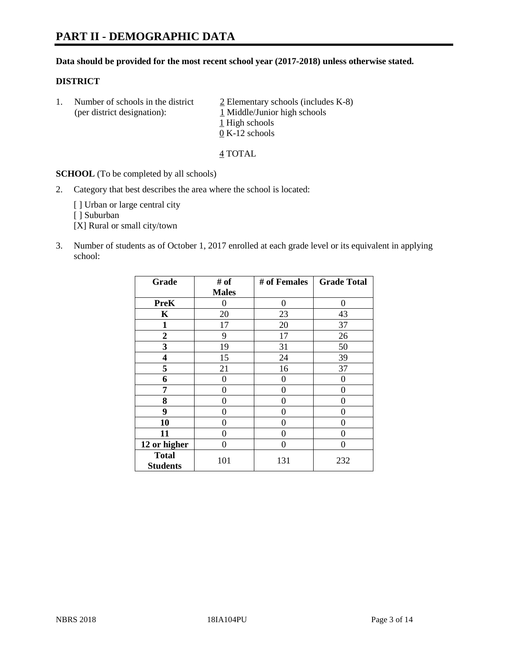#### **Data should be provided for the most recent school year (2017-2018) unless otherwise stated.**

## **DISTRICT**

1. Number of schools in the district  $\frac{2}{2}$  Elementary schools (includes K-8) (per district designation): 1 Middle/Junior high schools 1 High schools 0 K-12 schools

4 TOTAL

**SCHOOL** (To be completed by all schools)

2. Category that best describes the area where the school is located:

[] Urban or large central city

[ ] Suburban

[X] Rural or small city/town

3. Number of students as of October 1, 2017 enrolled at each grade level or its equivalent in applying school:

| Grade                           | # of         | # of Females | <b>Grade Total</b> |
|---------------------------------|--------------|--------------|--------------------|
|                                 | <b>Males</b> |              |                    |
| <b>PreK</b>                     | 0            | 0            | 0                  |
| K                               | 20           | 23           | 43                 |
| $\mathbf{1}$                    | 17           | 20           | 37                 |
| $\overline{2}$                  | 9            | 17           | 26                 |
| 3                               | 19           | 31           | 50                 |
| 4                               | 15           | 24           | 39                 |
| 5                               | 21           | 16           | 37                 |
| 6                               | 0            | 0            | 0                  |
| 7                               | 0            | 0            | 0                  |
| 8                               | 0            | 0            | 0                  |
| 9                               | 0            | 0            | 0                  |
| 10                              | 0            | 0            | 0                  |
| 11                              | 0            | 0            | 0                  |
| 12 or higher                    | 0            | 0            | 0                  |
| <b>Total</b><br><b>Students</b> | 101          | 131          | 232                |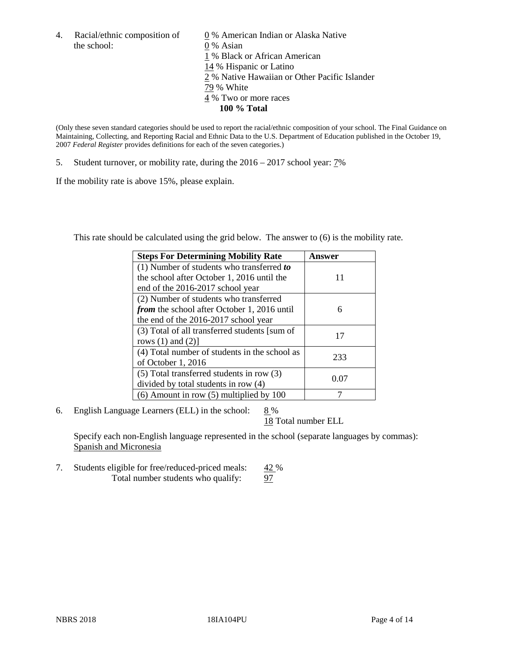the school: 0 % Asian

4. Racial/ethnic composition of  $\qquad 0\%$  American Indian or Alaska Native 1 % Black or African American 14 % Hispanic or Latino 2 % Native Hawaiian or Other Pacific Islander 79 % White 4 % Two or more races **100 % Total**

(Only these seven standard categories should be used to report the racial/ethnic composition of your school. The Final Guidance on Maintaining, Collecting, and Reporting Racial and Ethnic Data to the U.S. Department of Education published in the October 19, 2007 *Federal Register* provides definitions for each of the seven categories.)

5. Student turnover, or mobility rate, during the 2016 – 2017 school year: 7%

If the mobility rate is above 15%, please explain.

This rate should be calculated using the grid below. The answer to (6) is the mobility rate.

| <b>Steps For Determining Mobility Rate</b>         | Answer |
|----------------------------------------------------|--------|
| $(1)$ Number of students who transferred to        |        |
| the school after October 1, 2016 until the         | 11     |
| end of the 2016-2017 school year                   |        |
| (2) Number of students who transferred             |        |
| <i>from</i> the school after October 1, 2016 until | 6      |
| the end of the 2016-2017 school year               |        |
| (3) Total of all transferred students [sum of      | 17     |
| rows $(1)$ and $(2)$ ]                             |        |
| (4) Total number of students in the school as      |        |
| of October 1, 2016                                 | 233    |
| (5) Total transferred students in row (3)          |        |
| divided by total students in row (4)               | 0.07   |
| $(6)$ Amount in row $(5)$ multiplied by 100        |        |

6. English Language Learners (ELL) in the school:  $8\%$ 

18 Total number ELL

Specify each non-English language represented in the school (separate languages by commas): Spanish and Micronesia

7. Students eligible for free/reduced-priced meals: 42 % Total number students who qualify: 97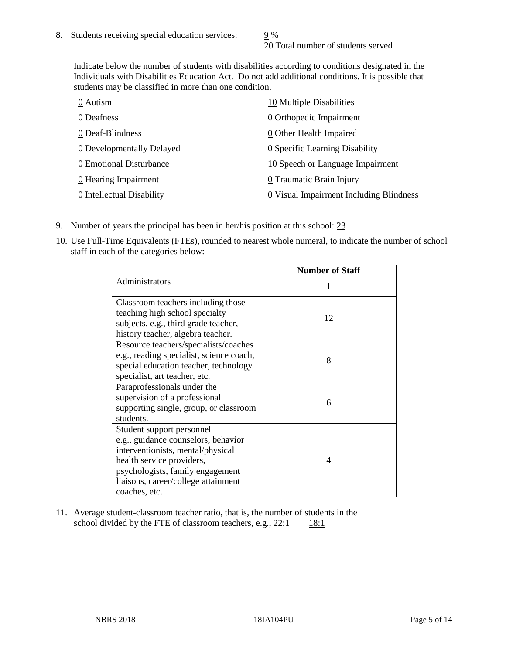20 Total number of students served

Indicate below the number of students with disabilities according to conditions designated in the Individuals with Disabilities Education Act. Do not add additional conditions. It is possible that students may be classified in more than one condition.

| 0 Autism                  | 10 Multiple Disabilities                |
|---------------------------|-----------------------------------------|
| 0 Deafness                | 0 Orthopedic Impairment                 |
| 0 Deaf-Blindness          | 0 Other Health Impaired                 |
| 0 Developmentally Delayed | 0 Specific Learning Disability          |
| 0 Emotional Disturbance   | 10 Speech or Language Impairment        |
| 0 Hearing Impairment      | 0 Traumatic Brain Injury                |
| 0 Intellectual Disability | 0 Visual Impairment Including Blindness |

- 9. Number of years the principal has been in her/his position at this school: 23
- 10. Use Full-Time Equivalents (FTEs), rounded to nearest whole numeral, to indicate the number of school staff in each of the categories below:

|                                                                                                                                                                                                                                | <b>Number of Staff</b> |
|--------------------------------------------------------------------------------------------------------------------------------------------------------------------------------------------------------------------------------|------------------------|
| Administrators                                                                                                                                                                                                                 |                        |
| Classroom teachers including those<br>teaching high school specialty<br>subjects, e.g., third grade teacher,<br>history teacher, algebra teacher.                                                                              | 12                     |
| Resource teachers/specialists/coaches<br>e.g., reading specialist, science coach,<br>special education teacher, technology<br>specialist, art teacher, etc.                                                                    | 8                      |
| Paraprofessionals under the<br>supervision of a professional<br>supporting single, group, or classroom<br>students.                                                                                                            | 6                      |
| Student support personnel<br>e.g., guidance counselors, behavior<br>interventionists, mental/physical<br>health service providers,<br>psychologists, family engagement<br>liaisons, career/college attainment<br>coaches, etc. | 4                      |

11. Average student-classroom teacher ratio, that is, the number of students in the school divided by the FTE of classroom teachers, e.g.,  $22:1$  18:1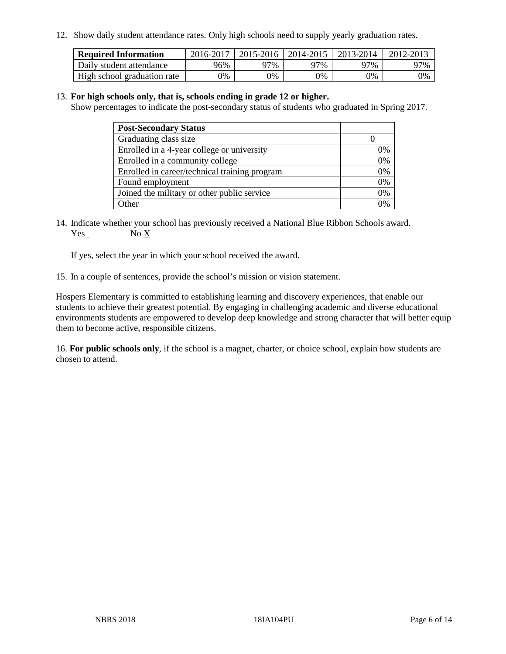12. Show daily student attendance rates. Only high schools need to supply yearly graduation rates.

| <b>Required Information</b> | 2016-2017 | $2015 - 2016$ | 2014-2015 | 2013-2014 | 2012-2013 |
|-----------------------------|-----------|---------------|-----------|-----------|-----------|
| Daily student attendance    | 96%       | 97%           | 97%       | ว7%       | 97%       |
| High school graduation rate | 0%        | 0%            | 0%        | 9%        | 0%        |

#### 13. **For high schools only, that is, schools ending in grade 12 or higher.**

Show percentages to indicate the post-secondary status of students who graduated in Spring 2017.

| <b>Post-Secondary Status</b>                  |    |
|-----------------------------------------------|----|
| Graduating class size                         |    |
| Enrolled in a 4-year college or university    | 0% |
| Enrolled in a community college               | 0% |
| Enrolled in career/technical training program | 0% |
| Found employment                              | 0% |
| Joined the military or other public service   | 0% |
| Other                                         | ገ% |

14. Indicate whether your school has previously received a National Blue Ribbon Schools award. Yes No X

If yes, select the year in which your school received the award.

15. In a couple of sentences, provide the school's mission or vision statement.

Hospers Elementary is committed to establishing learning and discovery experiences, that enable our students to achieve their greatest potential. By engaging in challenging academic and diverse educational environments students are empowered to develop deep knowledge and strong character that will better equip them to become active, responsible citizens.

16. **For public schools only**, if the school is a magnet, charter, or choice school, explain how students are chosen to attend.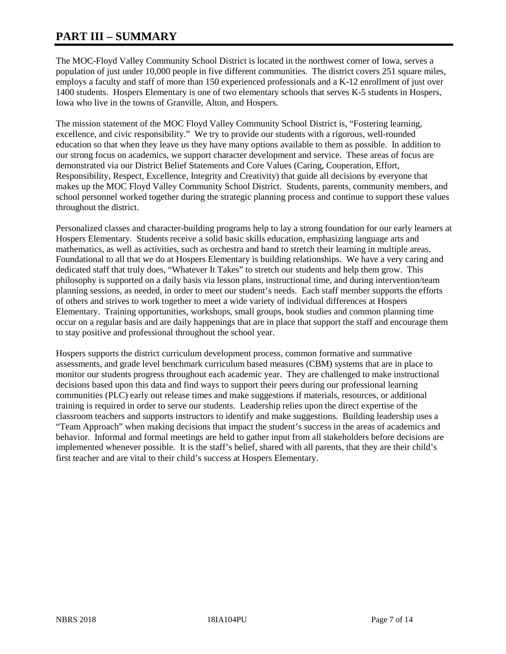# **PART III – SUMMARY**

The MOC-Floyd Valley Community School District is located in the northwest corner of Iowa, serves a population of just under 10,000 people in five different communities. The district covers 251 square miles, employs a faculty and staff of more than 150 experienced professionals and a K-12 enrollment of just over 1400 students. Hospers Elementary is one of two elementary schools that serves K-5 students in Hospers, Iowa who live in the towns of Granville, Alton, and Hospers.

The mission statement of the MOC Floyd Valley Community School District is, "Fostering learning, excellence, and civic responsibility." We try to provide our students with a rigorous, well-rounded education so that when they leave us they have many options available to them as possible. In addition to our strong focus on academics, we support character development and service. These areas of focus are demonstrated via our District Belief Statements and Core Values (Caring, Cooperation, Effort, Responsibility, Respect, Excellence, Integrity and Creativity) that guide all decisions by everyone that makes up the MOC Floyd Valley Community School District. Students, parents, community members, and school personnel worked together during the strategic planning process and continue to support these values throughout the district.

Personalized classes and character-building programs help to lay a strong foundation for our early learners at Hospers Elementary. Students receive a solid basic skills education, emphasizing language arts and mathematics, as well as activities, such as orchestra and band to stretch their learning in multiple areas. Foundational to all that we do at Hospers Elementary is building relationships. We have a very caring and dedicated staff that truly does, "Whatever It Takes" to stretch our students and help them grow. This philosophy is supported on a daily basis via lesson plans, instructional time, and during intervention/team planning sessions, as needed, in order to meet our student's needs. Each staff member supports the efforts of others and strives to work together to meet a wide variety of individual differences at Hospers Elementary. Training opportunities, workshops, small groups, book studies and common planning time occur on a regular basis and are daily happenings that are in place that support the staff and encourage them to stay positive and professional throughout the school year.

Hospers supports the district curriculum development process, common formative and summative assessments, and grade level benchmark curriculum based measures (CBM) systems that are in place to monitor our students progress throughout each academic year. They are challenged to make instructional decisions based upon this data and find ways to support their peers during our professional learning communities (PLC) early out release times and make suggestions if materials, resources, or additional training is required in order to serve our students. Leadership relies upon the direct expertise of the classroom teachers and supports instructors to identify and make suggestions. Building leadership uses a "Team Approach" when making decisions that impact the student's success in the areas of academics and behavior. Informal and formal meetings are held to gather input from all stakeholders before decisions are implemented whenever possible. It is the staff's belief, shared with all parents, that they are their child's first teacher and are vital to their child's success at Hospers Elementary.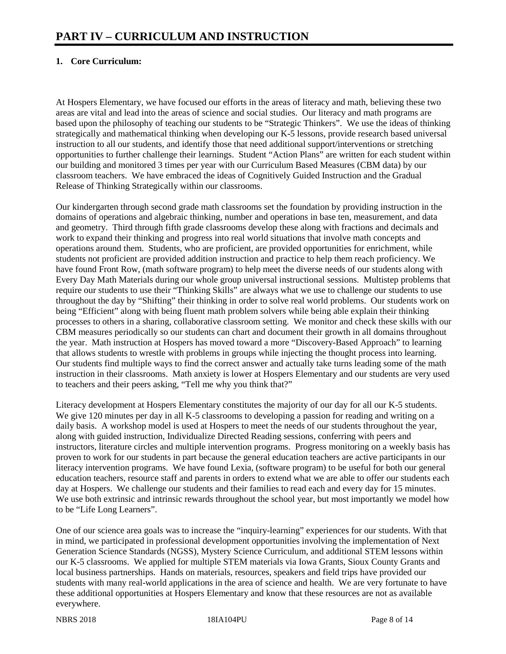# **1. Core Curriculum:**

At Hospers Elementary, we have focused our efforts in the areas of literacy and math, believing these two areas are vital and lead into the areas of science and social studies. Our literacy and math programs are based upon the philosophy of teaching our students to be "Strategic Thinkers". We use the ideas of thinking strategically and mathematical thinking when developing our K-5 lessons, provide research based universal instruction to all our students, and identify those that need additional support/interventions or stretching opportunities to further challenge their learnings. Student "Action Plans" are written for each student within our building and monitored 3 times per year with our Curriculum Based Measures (CBM data) by our classroom teachers. We have embraced the ideas of Cognitively Guided Instruction and the Gradual Release of Thinking Strategically within our classrooms.

Our kindergarten through second grade math classrooms set the foundation by providing instruction in the domains of operations and algebraic thinking, number and operations in base ten, measurement, and data and geometry. Third through fifth grade classrooms develop these along with fractions and decimals and work to expand their thinking and progress into real world situations that involve math concepts and operations around them. Students, who are proficient, are provided opportunities for enrichment, while students not proficient are provided addition instruction and practice to help them reach proficiency. We have found Front Row, (math software program) to help meet the diverse needs of our students along with Every Day Math Materials during our whole group universal instructional sessions. Multistep problems that require our students to use their "Thinking Skills" are always what we use to challenge our students to use throughout the day by "Shifting" their thinking in order to solve real world problems. Our students work on being "Efficient" along with being fluent math problem solvers while being able explain their thinking processes to others in a sharing, collaborative classroom setting. We monitor and check these skills with our CBM measures periodically so our students can chart and document their growth in all domains throughout the year. Math instruction at Hospers has moved toward a more "Discovery-Based Approach" to learning that allows students to wrestle with problems in groups while injecting the thought process into learning. Our students find multiple ways to find the correct answer and actually take turns leading some of the math instruction in their classrooms. Math anxiety is lower at Hospers Elementary and our students are very used to teachers and their peers asking, "Tell me why you think that?"

Literacy development at Hospers Elementary constitutes the majority of our day for all our K-5 students. We give 120 minutes per day in all K-5 classrooms to developing a passion for reading and writing on a daily basis. A workshop model is used at Hospers to meet the needs of our students throughout the year, along with guided instruction, Individualize Directed Reading sessions, conferring with peers and instructors, literature circles and multiple intervention programs. Progress monitoring on a weekly basis has proven to work for our students in part because the general education teachers are active participants in our literacy intervention programs. We have found Lexia, (software program) to be useful for both our general education teachers, resource staff and parents in orders to extend what we are able to offer our students each day at Hospers. We challenge our students and their families to read each and every day for 15 minutes. We use both extrinsic and intrinsic rewards throughout the school year, but most importantly we model how to be "Life Long Learners".

One of our science area goals was to increase the "inquiry-learning" experiences for our students. With that in mind, we participated in professional development opportunities involving the implementation of Next Generation Science Standards (NGSS), Mystery Science Curriculum, and additional STEM lessons within our K-5 classrooms. We applied for multiple STEM materials via Iowa Grants, Sioux County Grants and local business partnerships. Hands on materials, resources, speakers and field trips have provided our students with many real-world applications in the area of science and health. We are very fortunate to have these additional opportunities at Hospers Elementary and know that these resources are not as available everywhere.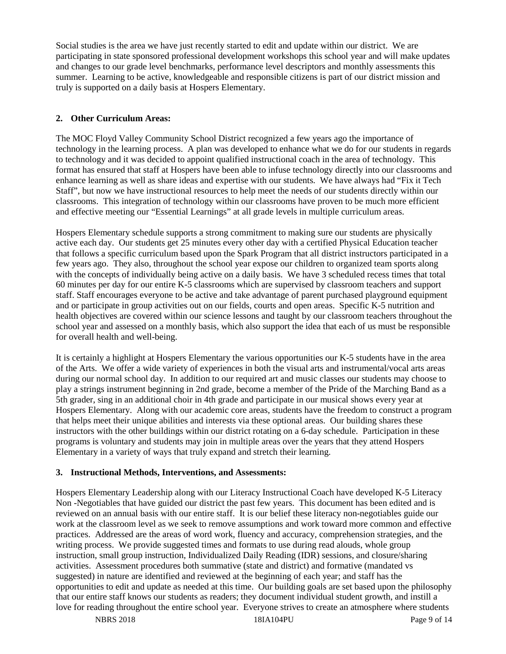Social studies is the area we have just recently started to edit and update within our district. We are participating in state sponsored professional development workshops this school year and will make updates and changes to our grade level benchmarks, performance level descriptors and monthly assessments this summer. Learning to be active, knowledgeable and responsible citizens is part of our district mission and truly is supported on a daily basis at Hospers Elementary.

## **2. Other Curriculum Areas:**

The MOC Floyd Valley Community School District recognized a few years ago the importance of technology in the learning process. A plan was developed to enhance what we do for our students in regards to technology and it was decided to appoint qualified instructional coach in the area of technology. This format has ensured that staff at Hospers have been able to infuse technology directly into our classrooms and enhance learning as well as share ideas and expertise with our students. We have always had "Fix it Tech Staff", but now we have instructional resources to help meet the needs of our students directly within our classrooms. This integration of technology within our classrooms have proven to be much more efficient and effective meeting our "Essential Learnings" at all grade levels in multiple curriculum areas.

Hospers Elementary schedule supports a strong commitment to making sure our students are physically active each day. Our students get 25 minutes every other day with a certified Physical Education teacher that follows a specific curriculum based upon the Spark Program that all district instructors participated in a few years ago. They also, throughout the school year expose our children to organized team sports along with the concepts of individually being active on a daily basis. We have 3 scheduled recess times that total 60 minutes per day for our entire K-5 classrooms which are supervised by classroom teachers and support staff. Staff encourages everyone to be active and take advantage of parent purchased playground equipment and or participate in group activities out on our fields, courts and open areas. Specific K-5 nutrition and health objectives are covered within our science lessons and taught by our classroom teachers throughout the school year and assessed on a monthly basis, which also support the idea that each of us must be responsible for overall health and well-being.

It is certainly a highlight at Hospers Elementary the various opportunities our K-5 students have in the area of the Arts. We offer a wide variety of experiences in both the visual arts and instrumental/vocal arts areas during our normal school day. In addition to our required art and music classes our students may choose to play a strings instrument beginning in 2nd grade, become a member of the Pride of the Marching Band as a 5th grader, sing in an additional choir in 4th grade and participate in our musical shows every year at Hospers Elementary. Along with our academic core areas, students have the freedom to construct a program that helps meet their unique abilities and interests via these optional areas. Our building shares these instructors with the other buildings within our district rotating on a 6-day schedule. Participation in these programs is voluntary and students may join in multiple areas over the years that they attend Hospers Elementary in a variety of ways that truly expand and stretch their learning.

#### **3. Instructional Methods, Interventions, and Assessments:**

Hospers Elementary Leadership along with our Literacy Instructional Coach have developed K-5 Literacy Non -Negotiables that have guided our district the past few years. This document has been edited and is reviewed on an annual basis with our entire staff. It is our belief these literacy non-negotiables guide our work at the classroom level as we seek to remove assumptions and work toward more common and effective practices. Addressed are the areas of word work, fluency and accuracy, comprehension strategies, and the writing process. We provide suggested times and formats to use during read alouds, whole group instruction, small group instruction, Individualized Daily Reading (IDR) sessions, and closure/sharing activities. Assessment procedures both summative (state and district) and formative (mandated vs suggested) in nature are identified and reviewed at the beginning of each year; and staff has the opportunities to edit and update as needed at this time. Our building goals are set based upon the philosophy that our entire staff knows our students as readers; they document individual student growth, and instill a love for reading throughout the entire school year. Everyone strives to create an atmosphere where students

NBRS 2018 **18IA104PU** Page 9 of 14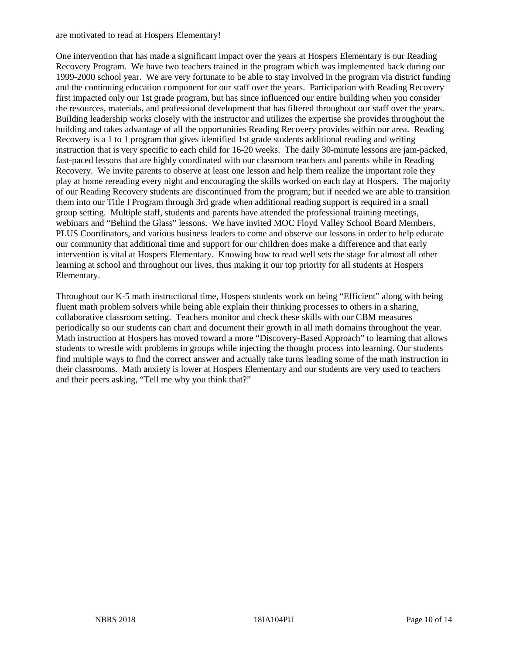are motivated to read at Hospers Elementary!

One intervention that has made a significant impact over the years at Hospers Elementary is our Reading Recovery Program. We have two teachers trained in the program which was implemented back during our 1999-2000 school year. We are very fortunate to be able to stay involved in the program via district funding and the continuing education component for our staff over the years. Participation with Reading Recovery first impacted only our 1st grade program, but has since influenced our entire building when you consider the resources, materials, and professional development that has filtered throughout our staff over the years. Building leadership works closely with the instructor and utilizes the expertise she provides throughout the building and takes advantage of all the opportunities Reading Recovery provides within our area. Reading Recovery is a 1 to 1 program that gives identified 1st grade students additional reading and writing instruction that is very specific to each child for 16-20 weeks. The daily 30-minute lessons are jam-packed, fast-paced lessons that are highly coordinated with our classroom teachers and parents while in Reading Recovery. We invite parents to observe at least one lesson and help them realize the important role they play at home rereading every night and encouraging the skills worked on each day at Hospers. The majority of our Reading Recovery students are discontinued from the program; but if needed we are able to transition them into our Title I Program through 3rd grade when additional reading support is required in a small group setting. Multiple staff, students and parents have attended the professional training meetings, webinars and "Behind the Glass" lessons. We have invited MOC Floyd Valley School Board Members, PLUS Coordinators, and various business leaders to come and observe our lessons in order to help educate our community that additional time and support for our children does make a difference and that early intervention is vital at Hospers Elementary. Knowing how to read well sets the stage for almost all other learning at school and throughout our lives, thus making it our top priority for all students at Hospers Elementary.

Throughout our K-5 math instructional time, Hospers students work on being "Efficient" along with being fluent math problem solvers while being able explain their thinking processes to others in a sharing, collaborative classroom setting. Teachers monitor and check these skills with our CBM measures periodically so our students can chart and document their growth in all math domains throughout the year. Math instruction at Hospers has moved toward a more "Discovery-Based Approach" to learning that allows students to wrestle with problems in groups while injecting the thought process into learning. Our students find multiple ways to find the correct answer and actually take turns leading some of the math instruction in their classrooms. Math anxiety is lower at Hospers Elementary and our students are very used to teachers and their peers asking, "Tell me why you think that?"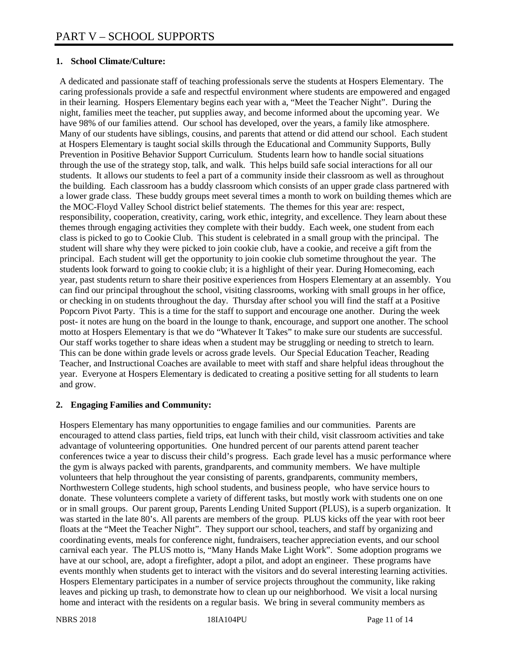## **1. School Climate/Culture:**

A dedicated and passionate staff of teaching professionals serve the students at Hospers Elementary. The caring professionals provide a safe and respectful environment where students are empowered and engaged in their learning. Hospers Elementary begins each year with a, "Meet the Teacher Night". During the night, families meet the teacher, put supplies away, and become informed about the upcoming year. We have 98% of our families attend. Our school has developed, over the years, a family like atmosphere. Many of our students have siblings, cousins, and parents that attend or did attend our school. Each student at Hospers Elementary is taught social skills through the Educational and Community Supports, Bully Prevention in Positive Behavior Support Curriculum. Students learn how to handle social situations through the use of the strategy stop, talk, and walk. This helps build safe social interactions for all our students. It allows our students to feel a part of a community inside their classroom as well as throughout the building. Each classroom has a buddy classroom which consists of an upper grade class partnered with a lower grade class. These buddy groups meet several times a month to work on building themes which are the MOC-Floyd Valley School district belief statements. The themes for this year are: respect, responsibility, cooperation, creativity, caring, work ethic, integrity, and excellence. They learn about these themes through engaging activities they complete with their buddy. Each week, one student from each class is picked to go to Cookie Club. This student is celebrated in a small group with the principal. The student will share why they were picked to join cookie club, have a cookie, and receive a gift from the principal. Each student will get the opportunity to join cookie club sometime throughout the year. The students look forward to going to cookie club; it is a highlight of their year. During Homecoming, each year, past students return to share their positive experiences from Hospers Elementary at an assembly. You can find our principal throughout the school, visiting classrooms, working with small groups in her office, or checking in on students throughout the day. Thursday after school you will find the staff at a Positive Popcorn Pivot Party. This is a time for the staff to support and encourage one another. During the week post- it notes are hung on the board in the lounge to thank, encourage, and support one another. The school motto at Hospers Elementary is that we do "Whatever It Takes" to make sure our students are successful. Our staff works together to share ideas when a student may be struggling or needing to stretch to learn. This can be done within grade levels or across grade levels. Our Special Education Teacher, Reading Teacher, and Instructional Coaches are available to meet with staff and share helpful ideas throughout the year. Everyone at Hospers Elementary is dedicated to creating a positive setting for all students to learn and grow.

#### **2. Engaging Families and Community:**

Hospers Elementary has many opportunities to engage families and our communities. Parents are encouraged to attend class parties, field trips, eat lunch with their child, visit classroom activities and take advantage of volunteering opportunities. One hundred percent of our parents attend parent teacher conferences twice a year to discuss their child's progress. Each grade level has a music performance where the gym is always packed with parents, grandparents, and community members. We have multiple volunteers that help throughout the year consisting of parents, grandparents, community members, Northwestern College students, high school students, and business people, who have service hours to donate. These volunteers complete a variety of different tasks, but mostly work with students one on one or in small groups. Our parent group, Parents Lending United Support (PLUS), is a superb organization. It was started in the late 80's. All parents are members of the group. PLUS kicks off the year with root beer floats at the "Meet the Teacher Night". They support our school, teachers, and staff by organizing and coordinating events, meals for conference night, fundraisers, teacher appreciation events, and our school carnival each year. The PLUS motto is, "Many Hands Make Light Work". Some adoption programs we have at our school, are, adopt a firefighter, adopt a pilot, and adopt an engineer. These programs have events monthly when students get to interact with the visitors and do several interesting learning activities. Hospers Elementary participates in a number of service projects throughout the community, like raking leaves and picking up trash, to demonstrate how to clean up our neighborhood. We visit a local nursing home and interact with the residents on a regular basis. We bring in several community members as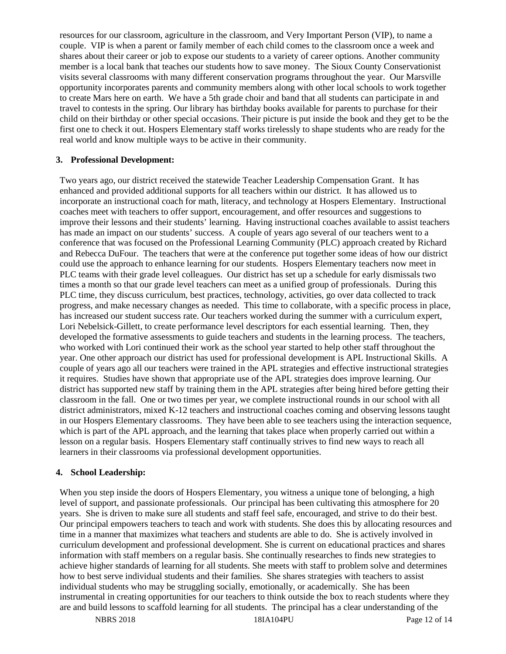resources for our classroom, agriculture in the classroom, and Very Important Person (VIP), to name a couple. VIP is when a parent or family member of each child comes to the classroom once a week and shares about their career or job to expose our students to a variety of career options. Another community member is a local bank that teaches our students how to save money. The Sioux County Conservationist visits several classrooms with many different conservation programs throughout the year. Our Marsville opportunity incorporates parents and community members along with other local schools to work together to create Mars here on earth. We have a 5th grade choir and band that all students can participate in and travel to contests in the spring. Our library has birthday books available for parents to purchase for their child on their birthday or other special occasions. Their picture is put inside the book and they get to be the first one to check it out. Hospers Elementary staff works tirelessly to shape students who are ready for the real world and know multiple ways to be active in their community.

#### **3. Professional Development:**

Two years ago, our district received the statewide Teacher Leadership Compensation Grant. It has enhanced and provided additional supports for all teachers within our district. It has allowed us to incorporate an instructional coach for math, literacy, and technology at Hospers Elementary. Instructional coaches meet with teachers to offer support, encouragement, and offer resources and suggestions to improve their lessons and their students' learning. Having instructional coaches available to assist teachers has made an impact on our students' success. A couple of years ago several of our teachers went to a conference that was focused on the Professional Learning Community (PLC) approach created by Richard and Rebecca DuFour. The teachers that were at the conference put together some ideas of how our district could use the approach to enhance learning for our students. Hospers Elementary teachers now meet in PLC teams with their grade level colleagues. Our district has set up a schedule for early dismissals two times a month so that our grade level teachers can meet as a unified group of professionals. During this PLC time, they discuss curriculum, best practices, technology, activities, go over data collected to track progress, and make necessary changes as needed. This time to collaborate, with a specific process in place, has increased our student success rate. Our teachers worked during the summer with a curriculum expert, Lori Nebelsick-Gillett, to create performance level descriptors for each essential learning. Then, they developed the formative assessments to guide teachers and students in the learning process. The teachers, who worked with Lori continued their work as the school year started to help other staff throughout the year. One other approach our district has used for professional development is APL Instructional Skills. A couple of years ago all our teachers were trained in the APL strategies and effective instructional strategies it requires. Studies have shown that appropriate use of the APL strategies does improve learning. Our district has supported new staff by training them in the APL strategies after being hired before getting their classroom in the fall. One or two times per year, we complete instructional rounds in our school with all district administrators, mixed K-12 teachers and instructional coaches coming and observing lessons taught in our Hospers Elementary classrooms. They have been able to see teachers using the interaction sequence, which is part of the APL approach, and the learning that takes place when properly carried out within a lesson on a regular basis. Hospers Elementary staff continually strives to find new ways to reach all learners in their classrooms via professional development opportunities.

#### **4. School Leadership:**

When you step inside the doors of Hospers Elementary, you witness a unique tone of belonging, a high level of support, and passionate professionals. Our principal has been cultivating this atmosphere for 20 years. She is driven to make sure all students and staff feel safe, encouraged, and strive to do their best. Our principal empowers teachers to teach and work with students. She does this by allocating resources and time in a manner that maximizes what teachers and students are able to do. She is actively involved in curriculum development and professional development. She is current on educational practices and shares information with staff members on a regular basis. She continually researches to finds new strategies to achieve higher standards of learning for all students. She meets with staff to problem solve and determines how to best serve individual students and their families. She shares strategies with teachers to assist individual students who may be struggling socially, emotionally, or academically. She has been instrumental in creating opportunities for our teachers to think outside the box to reach students where they are and build lessons to scaffold learning for all students. The principal has a clear understanding of the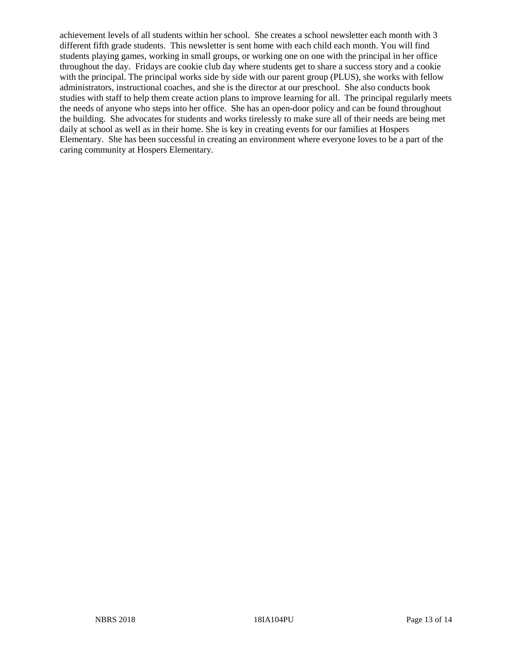achievement levels of all students within her school. She creates a school newsletter each month with 3 different fifth grade students. This newsletter is sent home with each child each month. You will find students playing games, working in small groups, or working one on one with the principal in her office throughout the day. Fridays are cookie club day where students get to share a success story and a cookie with the principal. The principal works side by side with our parent group (PLUS), she works with fellow administrators, instructional coaches, and she is the director at our preschool. She also conducts book studies with staff to help them create action plans to improve learning for all. The principal regularly meets the needs of anyone who steps into her office. She has an open-door policy and can be found throughout the building. She advocates for students and works tirelessly to make sure all of their needs are being met daily at school as well as in their home. She is key in creating events for our families at Hospers Elementary. She has been successful in creating an environment where everyone loves to be a part of the caring community at Hospers Elementary.